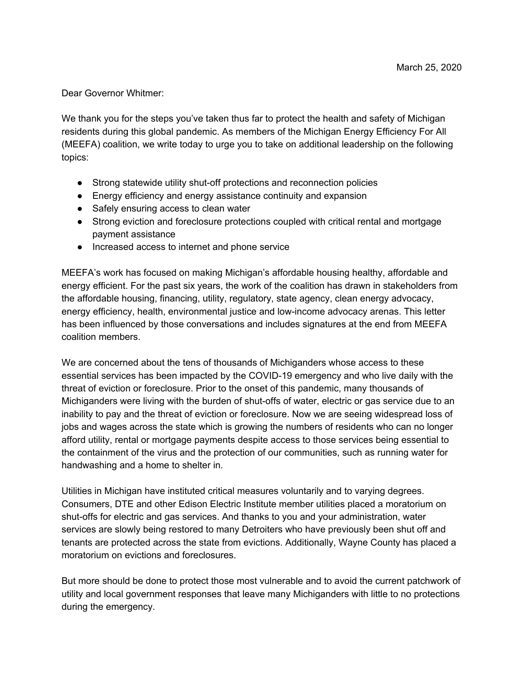Dear Governor Whitmer:

We thank you for the steps you've taken thus far to protect the health and safety of Michigan residents during this global pandemic. As members of the Michigan Energy Efficiency For All (MEEFA) coalition, we write today to urge you to take on additional leadership on the following topics:

- Strong statewide utility shut-off protections and reconnection policies
- Energy efficiency and energy assistance continuity and expansion
- Safely ensuring access to clean water
- Strong eviction and foreclosure protections coupled with critical rental and mortgage payment assistance
- Increased access to internet and phone service

MEEFA's work has focused on making Michigan's affordable housing healthy, affordable and energy efficient. For the past six years, the work of the coalition has drawn in stakeholders from the affordable housing, financing, utility, regulatory, state agency, clean energy advocacy, energy efficiency, health, environmental justice and low-income advocacy arenas. This letter has been influenced by those conversations and includes signatures at the end from MEEFA coalition members.

We are concerned about the tens of thousands of Michiganders whose access to these essential services has been impacted by the COVID-19 emergency and who live daily with the threat of eviction or foreclosure. Prior to the onset of this pandemic, many thousands of Michiganders were living with the burden of shut-offs of water, electric or gas service due to an inability to pay and the threat of eviction or foreclosure. Now we are seeing widespread loss of jobs and wages across the state which is growing the numbers of residents who can no longer afford utility, rental or mortgage payments despite access to those services being essential to the containment of the virus and the protection of our communities, such as running water for handwashing and a home to shelter in.

Utilities in Michigan have instituted critical measures voluntarily and to varying degrees. Consumers, DTE and other Edison Electric Institute member utilities placed a moratorium on shut-offs for electric and gas services. And thanks to you and your administration, water services are slowly being restored to many Detroiters who have previously been shut off and tenants are protected across the state from evictions. Additionally, Wayne County has placed a moratorium on evictions and foreclosures.

But more should be done to protect those most vulnerable and to avoid the current patchwork of utility and local government responses that leave many Michiganders with little to no protections during the emergency.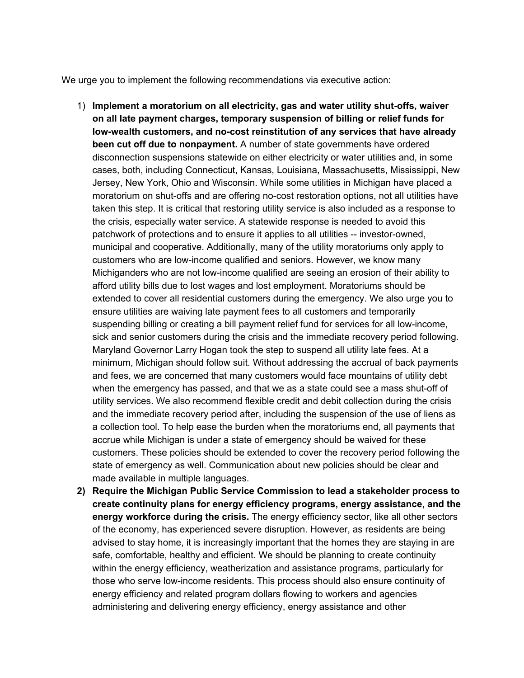We urge you to implement the following recommendations via executive action:

- 1) **Implement a moratorium on all electricity, gas and water utility shut-offs, waiver on all late payment charges, temporary suspension of billing or relief funds for low-wealth customers, and no-cost reinstitution of any services that have already been cut off due to nonpayment.** A number of state governments have ordered disconnection suspensions statewide on either electricity or water utilities and, in some cases, both, including Connecticut, Kansas, Louisiana, Massachusetts, Mississippi, New Jersey, New York, Ohio and Wisconsin. While some utilities in Michigan have placed a moratorium on shut-offs and are offering no-cost restoration options, not all utilities have taken this step. It is critical that restoring utility service is also included as a response to the crisis, especially water service. A statewide response is needed to avoid this patchwork of protections and to ensure it applies to all utilities -- investor-owned, municipal and cooperative. Additionally, many of the utility moratoriums only apply to customers who are low-income qualified and seniors. However, we know many Michiganders who are not low-income qualified are seeing an erosion of their ability to afford utility bills due to lost wages and lost employment. Moratoriums should be extended to cover all residential customers during the emergency. We also urge you to ensure utilities are waiving late payment fees to all customers and temporarily suspending billing or creating a bill payment relief fund for services for all low-income, sick and senior customers during the crisis and the immediate recovery period following. Maryland Governor Larry Hogan took the step to suspend all utility late fees. At a minimum, Michigan should follow suit. Without addressing the accrual of back payments and fees, we are concerned that many customers would face mountains of utility debt when the emergency has passed, and that we as a state could see a mass shut-off of utility services. We also recommend flexible credit and debit collection during the crisis and the immediate recovery period after, including the suspension of the use of liens as a collection tool. To help ease the burden when the moratoriums end, all payments that accrue while Michigan is under a state of emergency should be waived for these customers. These policies should be extended to cover the recovery period following the state of emergency as well. Communication about new policies should be clear and made available in multiple languages.
- **2) Require the Michigan Public Service Commission to lead a stakeholder process to create continuity plans for energy efficiency programs, energy assistance, and the energy workforce during the crisis.** The energy efficiency sector, like all other sectors of the economy, has experienced severe disruption. However, as residents are being advised to stay home, it is increasingly important that the homes they are staying in are safe, comfortable, healthy and efficient. We should be planning to create continuity within the energy efficiency, weatherization and assistance programs, particularly for those who serve low-income residents. This process should also ensure continuity of energy efficiency and related program dollars flowing to workers and agencies administering and delivering energy efficiency, energy assistance and other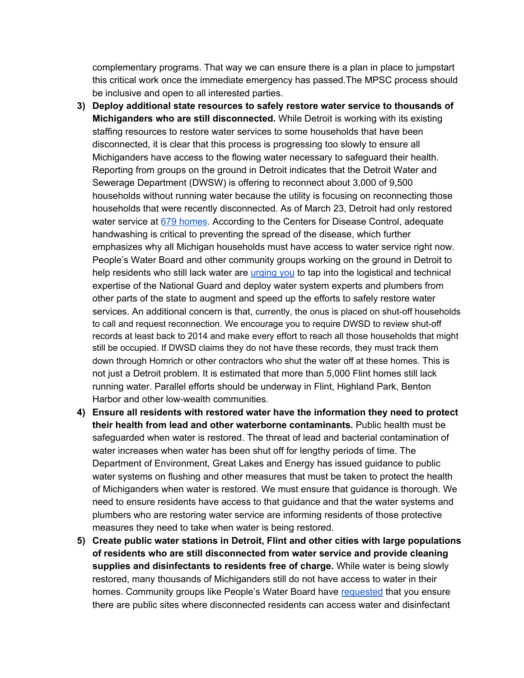complementary programs. That way we can ensure there is a plan in place to jumpstart this critical work once the immediate emergency has passed.The MPSC process should be inclusive and open to all interested parties.

- **3) Deploy additional state resources to safely restore water service to thousands of Michiganders who are still disconnected.** While Detroit is working with its existing staffing resources to restore water services to some households that have been disconnected, it is clear that this process is progressing too slowly to ensure all Michiganders have access to the flowing water necessary to safeguard their health. Reporting from groups on the ground in Detroit indicates that the Detroit Water and Sewerage Department (DWSW) is offering to reconnect about 3,000 of 9,500 households without running water because the utility is focusing on reconnecting those households that were recently disconnected. As of March 23, Detroit had only restored water service at 679 [homes](https://www.detroitnews.com/story/opinion/2020/03/25/opinion-water-access-urgent-detroit-during-outbreak/2901878001/). According to the Centers for Disease Control, adequate handwashing is critical to preventing the spread of the disease, which further emphasizes why all Michigan households must have access to water service right now. People's Water Board and other community groups working on the ground in Detroit to help residents who still lack water are [urging](https://www.peopleswaterboard.org/2020/03/16/appeal-to-gov-whitmer-in-light-of-covid-19-water-sanitation-needs/) you to tap into the logistical and technical expertise of the National Guard and deploy water system experts and plumbers from other parts of the state to augment and speed up the efforts to safely restore water services. An additional concern is that, currently, the onus is placed on shut-off households to call and request reconnection. We encourage you to require DWSD to review shut-off records at least back to 2014 and make every effort to reach all those households that might still be occupied. If DWSD claims they do not have these records, they must track them down through Homrich or other contractors who shut the water off at these homes. This is not just a Detroit problem. It is estimated that more than 5,000 Flint homes still lack running water. Parallel efforts should be underway in Flint, Highland Park, Benton Harbor and other low-wealth communities.
- **4) Ensure all residents with restored water have the information they need to protect their health from lead and other waterborne contaminants.** Public health must be safeguarded when water is restored. The threat of lead and bacterial contamination of water increases when water has been shut off for lengthy periods of time. The Department of Environment, Great Lakes and Energy has issued guidance to public water systems on flushing and other measures that must be taken to protect the health of Michiganders when water is restored. We must ensure that guidance is thorough. We need to ensure residents have access to that guidance and that the water systems and plumbers who are restoring water service are informing residents of those protective measures they need to take when water is being restored.
- **5) Create public water stations in Detroit, Flint and other cities with large populations of residents who are still disconnected from water service and provide cleaning supplies and disinfectants to residents free of charge.** While water is being slowly restored, many thousands of Michiganders still do not have access to water in their homes. Community groups like People's Water Board have [requested](https://www.peopleswaterboard.org/2020/03/16/appeal-to-gov-whitmer-in-light-of-covid-19-water-sanitation-needs/) that you ensure there are public sites where disconnected residents can access water and disinfectant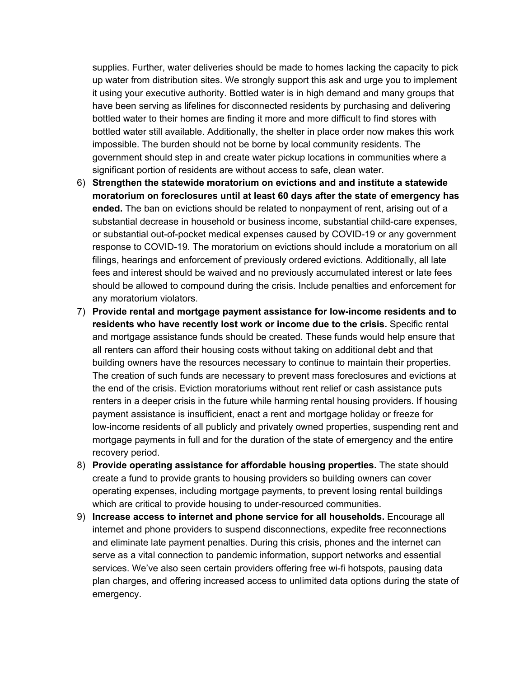supplies. Further, water deliveries should be made to homes lacking the capacity to pick up water from distribution sites. We strongly support this ask and urge you to implement it using your executive authority. Bottled water is in high demand and many groups that have been serving as lifelines for disconnected residents by purchasing and delivering bottled water to their homes are finding it more and more difficult to find stores with bottled water still available. Additionally, the shelter in place order now makes this work impossible. The burden should not be borne by local community residents. The government should step in and create water pickup locations in communities where a significant portion of residents are without access to safe, clean water.

- 6) **Strengthen the statewide moratorium on evictions and and institute a statewide moratorium on foreclosures until at least 60 days after the state of emergency has ended.** The ban on evictions should be related to nonpayment of rent, arising out of a substantial decrease in household or business income, substantial child-care expenses, or substantial out-of-pocket medical expenses caused by COVID-19 or any government response to COVID-19. The moratorium on evictions should include a moratorium on all filings, hearings and enforcement of previously ordered evictions. Additionally, all late fees and interest should be waived and no previously accumulated interest or late fees should be allowed to compound during the crisis. Include penalties and enforcement for any moratorium violators.
- 7) **Provide rental and mortgage payment assistance for low-income residents and to residents who have recently lost work or income due to the crisis.** Specific rental and mortgage assistance funds should be created. These funds would help ensure that all renters can afford their housing costs without taking on additional debt and that building owners have the resources necessary to continue to maintain their properties. The creation of such funds are necessary to prevent mass foreclosures and evictions at the end of the crisis. Eviction moratoriums without rent relief or cash assistance puts renters in a deeper crisis in the future while harming rental housing providers. If housing payment assistance is insufficient, enact a rent and mortgage holiday or freeze for low-income residents of all publicly and privately owned properties, suspending rent and mortgage payments in full and for the duration of the state of emergency and the entire recovery period.
- 8) **Provide operating assistance for affordable housing properties.** The state should create a fund to provide grants to housing providers so building owners can cover operating expenses, including mortgage payments, to prevent losing rental buildings which are critical to provide housing to under-resourced communities.
- 9) **Increase access to internet and phone service for all households.** Encourage all internet and phone providers to suspend disconnections, expedite free reconnections and eliminate late payment penalties. During this crisis, phones and the internet can serve as a vital connection to pandemic information, support networks and essential services. We've also seen certain providers offering free wi-fi hotspots, pausing data plan charges, and offering increased access to unlimited data options during the state of emergency.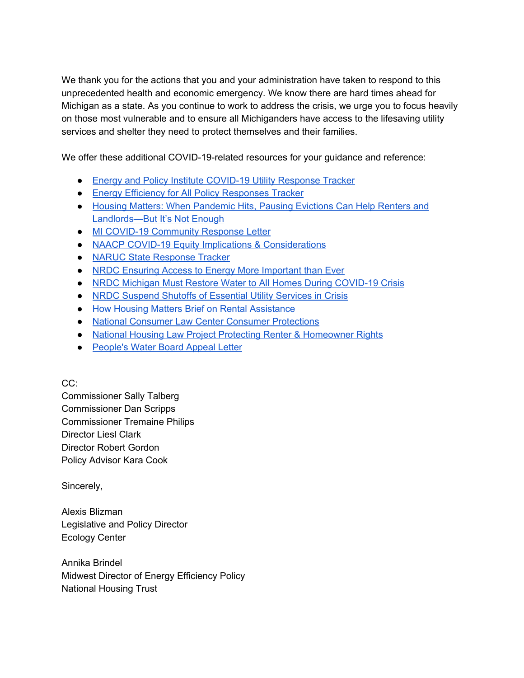We thank you for the actions that you and your administration have taken to respond to this unprecedented health and economic emergency. We know there are hard times ahead for Michigan as a state. As you continue to work to address the crisis, we urge you to focus heavily on those most vulnerable and to ensure all Michiganders have access to the lifesaving utility services and shelter they need to protect themselves and their families.

We offer these additional COVID-19-related resources for your guidance and reference:

- Energy and Policy Institute [COVID-19](https://www.energyandpolicy.org/utilities-disconnect-coronavirus/) Utility Response Tracker
- **Energy Efficiency for All Policy [Responses](http://www.energyefficiencyforall.org/covid-19/) Tracker**
- Housing Matters: When [Pandemic](https://housingmatters.urban.org/articles/when-pandemic-hits-pausing-evictions-can-help-renters-and-landlords-its-not-enough) Hits, Pausing Evictions Can Help Renters and [Landlords—But](https://housingmatters.urban.org/articles/when-pandemic-hits-pausing-evictions-can-help-renters-and-landlords-its-not-enough) It's Not Enough
- MI COVID-19 [Community](https://micovidcommunity.com/) Response Letter
- NAACP COVID-19 Equity Implications & [Considerations](https://pastatenaacp.org/wp-content/uploads/2020/03/Ten-Equity-Considerations-of-the-Coronavirus-COVID-19-Outbreak-in-the-United-States-FINAL.pdf)
- NARUC State [Response](https://www.naruc.org/compilation-of-covid-19-news-resources/state-response-tracker/) Tracker
- NRDC Ensuring Access to Energy More [Important](https://www.nrdc.org/experts/kit-kennedy/ensuring-access-energy-more-important-ever-0) than Ever
- NRDC Michigan Must Restore Water to All Homes During [COVID-19](https://www.nrdc.org/experts/jeremy-orr/michigan-must-restore-water-all-homes-during-covid-19-crisis) Crisis
- NRDC Suspend Shutoffs of [Essential](https://www.nrdc.org/experts/alexis-cureton/suspend-shutoffs-essential-utility-services-crisis) Utility Services in Crisis
- How Housing Matters Brief on Rental [Assistance](https://housingmatters.urban.org/articles/when-pandemic-hits-pausing-evictions-can-help-renters-and-landlords-its-not-enough)
- National Consumer Law Center Consumer [Protections](https://www.nclc.org/special-projects/covid-19-consumer-protections.html)
- National Housing Law Project Protecting Renter & [Homeowner](https://www.nhlp.org/campaign/protecting-renter-and-homeowner-rights-during-our-national-health-crisis-2/) Rights
- [People's](https://www.peopleswaterboard.org/2020/03/16/appeal-to-gov-whitmer-in-light-of-covid-19-water-sanitation-needs/) Water Board Appeal Letter

CC:

Commissioner Sally Talberg Commissioner Dan Scripps Commissioner Tremaine Philips Director Liesl Clark Director Robert Gordon Policy Advisor Kara Cook

Sincerely,

Alexis Blizman Legislative and Policy Director Ecology Center

Annika Brindel Midwest Director of Energy Efficiency Policy National Housing Trust